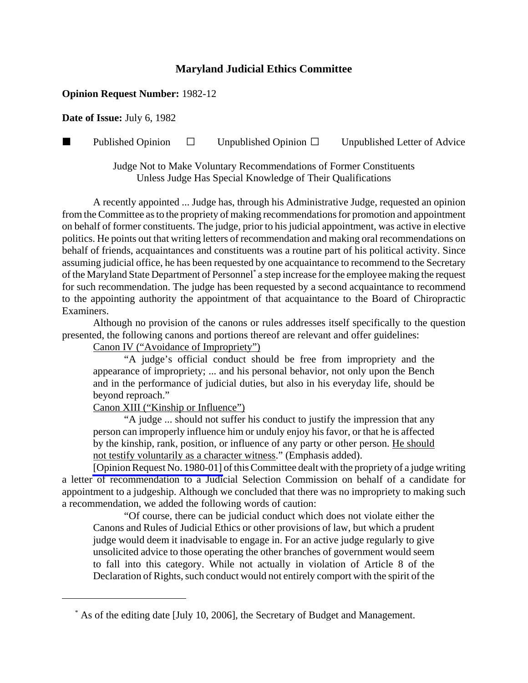## **Maryland Judicial Ethics Committee**

## **Opinion Request Number:** 1982-12

**Date of Issue:** July 6, 1982

**Published Opinion**  $\Box$  Unpublished Opinion  $\Box$  Unpublished Letter of Advice

Judge Not to Make Voluntary Recommendations of Former Constituents Unless Judge Has Special Knowledge of Their Qualifications

A recently appointed ... Judge has, through his Administrative Judge, requested an opinion from the Committee as to the propriety of making recommendations for promotion and appointment on behalf of former constituents. The judge, prior to his judicial appointment, was active in elective politics. He points out that writing letters of recommendation and making oral recommendations on behalf of friends, acquaintances and constituents was a routine part of his political activity. Since assuming judicial office, he has been requested by one acquaintance to recommend to the Secretary of the Maryland State Department of Personnel\* a step increase for the employee making the request for such recommendation. The judge has been requested by a second acquaintance to recommend to the appointing authority the appointment of that acquaintance to the Board of Chiropractic Examiners.

Although no provision of the canons or rules addresses itself specifically to the question presented, the following canons and portions thereof are relevant and offer guidelines:

Canon IV ("Avoidance of Impropriety")

"A judge's official conduct should be free from impropriety and the appearance of impropriety; ... and his personal behavior, not only upon the Bench and in the performance of judicial duties, but also in his everyday life, should be beyond reproach."

Canon XIII ("Kinship or Influence")

"A judge ... should not suffer his conduct to justify the impression that any person can improperly influence him or unduly enjoy his favor, or that he is affected by the kinship, rank, position, or influence of any party or other person. He should not testify voluntarily as a character witness." (Emphasis added).

[\[Opinion Request No. 1980-01\]](http://www.mdcourts.gov/ethics/pdfs/1980-01.pdf) of this Committee dealt with the propriety of a judge writing a letter of recommendation to a Judicial Selection Commission on behalf of a candidate for appointment to a judgeship. Although we concluded that there was no impropriety to making such a recommendation, we added the following words of caution:

"Of course, there can be judicial conduct which does not violate either the Canons and Rules of Judicial Ethics or other provisions of law, but which a prudent judge would deem it inadvisable to engage in. For an active judge regularly to give unsolicited advice to those operating the other branches of government would seem to fall into this category. While not actually in violation of Article 8 of the Declaration of Rights, such conduct would not entirely comport with the spirit of the

 <sup>\*</sup> As of the editing date [July 10, 2006], the Secretary of Budget and Management.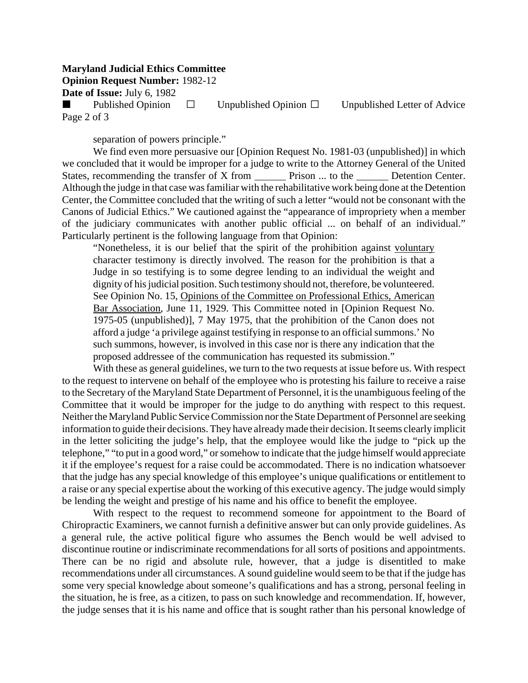## **Maryland Judicial Ethics Committee**

**Opinion Request Number:** 1982-12

**Date of Issue:** July 6, 1982

Published Opinion  $\Box$  Unpublished Opinion  $\Box$  Unpublished Letter of Advice Page 2 of 3

separation of powers principle."

We find even more persuasive our [Opinion Request No. 1981-03 (unpublished)] in which we concluded that it would be improper for a judge to write to the Attorney General of the United States, recommending the transfer of X from Prison ... to the Detention Center. Although the judge in that case was familiar with the rehabilitative work being done at the Detention Center, the Committee concluded that the writing of such a letter "would not be consonant with the Canons of Judicial Ethics." We cautioned against the "appearance of impropriety when a member of the judiciary communicates with another public official ... on behalf of an individual." Particularly pertinent is the following language from that Opinion:

"Nonetheless, it is our belief that the spirit of the prohibition against voluntary character testimony is directly involved. The reason for the prohibition is that a Judge in so testifying is to some degree lending to an individual the weight and dignity of his judicial position. Such testimony should not, therefore, be volunteered. See Opinion No. 15, Opinions of the Committee on Professional Ethics, American Bar Association, June 11, 1929. This Committee noted in [Opinion Request No. 1975-05 (unpublished)], 7 May 1975, that the prohibition of the Canon does not afford a judge 'a privilege against testifying in response to an official summons.' No such summons, however, is involved in this case nor is there any indication that the proposed addressee of the communication has requested its submission."

With these as general guidelines, we turn to the two requests at issue before us. With respect to the request to intervene on behalf of the employee who is protesting his failure to receive a raise to the Secretary of the Maryland State Department of Personnel, it is the unambiguous feeling of the Committee that it would be improper for the judge to do anything with respect to this request. Neither the Maryland Public Service Commission nor the State Department of Personnel are seeking information to guide their decisions. They have already made their decision. It seems clearly implicit in the letter soliciting the judge's help, that the employee would like the judge to "pick up the telephone," "to put in a good word," or somehow to indicate that the judge himself would appreciate it if the employee's request for a raise could be accommodated. There is no indication whatsoever that the judge has any special knowledge of this employee's unique qualifications or entitlement to a raise or any special expertise about the working of this executive agency. The judge would simply be lending the weight and prestige of his name and his office to benefit the employee.

With respect to the request to recommend someone for appointment to the Board of Chiropractic Examiners, we cannot furnish a definitive answer but can only provide guidelines. As a general rule, the active political figure who assumes the Bench would be well advised to discontinue routine or indiscriminate recommendations for all sorts of positions and appointments. There can be no rigid and absolute rule, however, that a judge is disentitled to make recommendations under all circumstances. A sound guideline would seem to be that if the judge has some very special knowledge about someone's qualifications and has a strong, personal feeling in the situation, he is free, as a citizen, to pass on such knowledge and recommendation. If, however, the judge senses that it is his name and office that is sought rather than his personal knowledge of